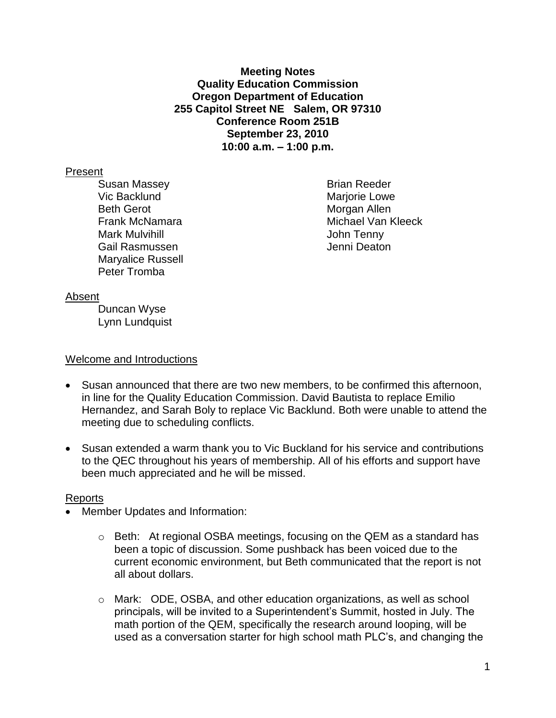**Meeting Notes Quality Education Commission Oregon Department of Education 255 Capitol Street NE Salem, OR 97310 Conference Room 251B September 23, 2010 10:00 a.m. – 1:00 p.m.**

### Present

Susan Massey **Brian Reeder** Vic Backlund **Mariorie Lowe** Marjorie Lowe Beth Gerot **Morgan Allen** Mark Mulvihill **Mark Mulvichill** Mark Mulvihill Mark Mulvin Mark Mulvin Mark Mulvin Mark Mulvin Mark Mulvin Mulv Gail Rasmussen Jenni Deaton Maryalice Russell Peter Tromba

Frank McNamara **Michael Van Kleeck** 

#### Absent

Duncan Wyse Lynn Lundquist

#### Welcome and Introductions

- Susan announced that there are two new members, to be confirmed this afternoon, in line for the Quality Education Commission. David Bautista to replace Emilio Hernandez, and Sarah Boly to replace Vic Backlund. Both were unable to attend the meeting due to scheduling conflicts.
- Susan extended a warm thank you to Vic Buckland for his service and contributions to the QEC throughout his years of membership. All of his efforts and support have been much appreciated and he will be missed.

## Reports

- Member Updates and Information:
	- $\circ$  Beth: At regional OSBA meetings, focusing on the QEM as a standard has been a topic of discussion. Some pushback has been voiced due to the current economic environment, but Beth communicated that the report is not all about dollars.
	- o Mark: ODE, OSBA, and other education organizations, as well as school principals, will be invited to a Superintendent's Summit, hosted in July. The math portion of the QEM, specifically the research around looping, will be used as a conversation starter for high school math PLC's, and changing the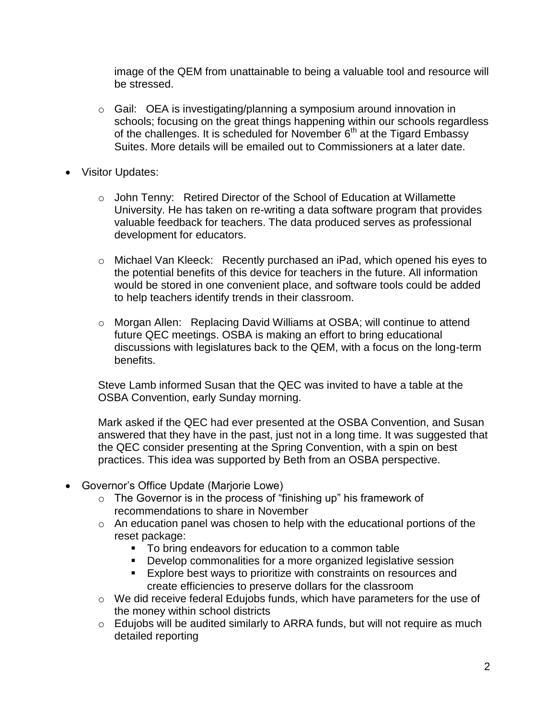image of the QEM from unattainable to being a valuable tool and resource will be stressed.

- $\circ$  Gail: OEA is investigating/planning a symposium around innovation in schools; focusing on the great things happening within our schools regardless of the challenges. It is scheduled for November 6<sup>th</sup> at the Tigard Embassy Suites. More details will be emailed out to Commissioners at a later date.
- Visitor Updates:
	- o John Tenny: Retired Director of the School of Education at Willamette University. He has taken on re-writing a data software program that provides valuable feedback for teachers. The data produced serves as professional development for educators.
	- o Michael Van Kleeck: Recently purchased an iPad, which opened his eyes to the potential benefits of this device for teachers in the future. All information would be stored in one convenient place, and software tools could be added to help teachers identify trends in their classroom.
	- o Morgan Allen: Replacing David Williams at OSBA; will continue to attend future QEC meetings. OSBA is making an effort to bring educational discussions with legislatures back to the QEM, with a focus on the long-term benefits.

Steve Lamb informed Susan that the QEC was invited to have a table at the OSBA Convention, early Sunday morning.

Mark asked if the QEC had ever presented at the OSBA Convention, and Susan answered that they have in the past, just not in a long time. It was suggested that the QEC consider presenting at the Spring Convention, with a spin on best practices. This idea was supported by Beth from an OSBA perspective.

- Governor's Office Update (Marjorie Lowe)
	- o The Governor is in the process of "finishing up" his framework of recommendations to share in November
	- o An education panel was chosen to help with the educational portions of the reset package:
		- **To bring endeavors for education to a common table**
		- **Develop commonalities for a more organized legislative session**
		- **Explore best ways to prioritize with constraints on resources and** create efficiencies to preserve dollars for the classroom
	- o We did receive federal Edujobs funds, which have parameters for the use of the money within school districts
	- o Edujobs will be audited similarly to ARRA funds, but will not require as much detailed reporting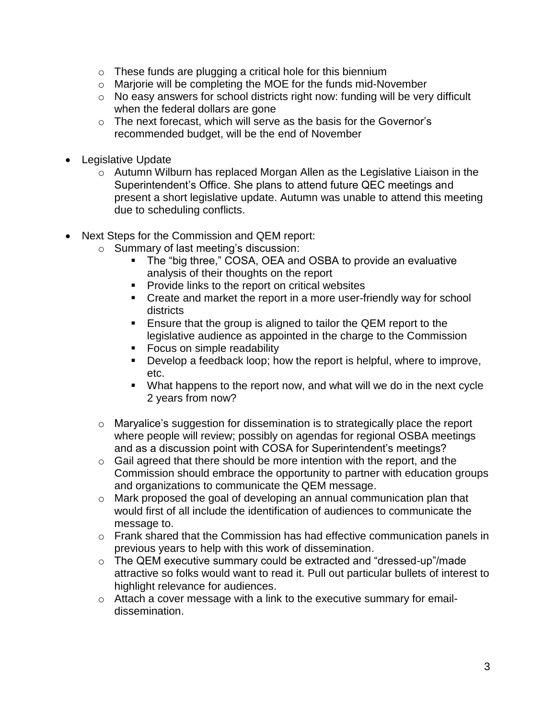- $\circ$  These funds are plugging a critical hole for this biennium
- o Marjorie will be completing the MOE for the funds mid-November
- o No easy answers for school districts right now: funding will be very difficult when the federal dollars are gone
- o The next forecast, which will serve as the basis for the Governor's recommended budget, will be the end of November
- Legislative Update
	- o Autumn Wilburn has replaced Morgan Allen as the Legislative Liaison in the Superintendent's Office. She plans to attend future QEC meetings and present a short legislative update. Autumn was unable to attend this meeting due to scheduling conflicts.
- Next Steps for the Commission and QEM report:
	- o Summary of last meeting's discussion:
		- The "big three," COSA, OEA and OSBA to provide an evaluative analysis of their thoughts on the report
		- **Provide links to the report on critical websites**
		- Create and market the report in a more user-friendly way for school districts
		- **Ensure that the group is aligned to tailor the QEM report to the** legislative audience as appointed in the charge to the Commission
		- **Focus on simple readability**
		- Develop a feedback loop; how the report is helpful, where to improve, etc.
		- What happens to the report now, and what will we do in the next cycle 2 years from now?
	- o Maryalice's suggestion for dissemination is to strategically place the report where people will review; possibly on agendas for regional OSBA meetings and as a discussion point with COSA for Superintendent's meetings?
	- $\circ$  Gail agreed that there should be more intention with the report, and the Commission should embrace the opportunity to partner with education groups and organizations to communicate the QEM message.
	- o Mark proposed the goal of developing an annual communication plan that would first of all include the identification of audiences to communicate the message to.
	- $\circ$  Frank shared that the Commission has had effective communication panels in previous years to help with this work of dissemination.
	- o The QEM executive summary could be extracted and "dressed-up"/made attractive so folks would want to read it. Pull out particular bullets of interest to highlight relevance for audiences.
	- o Attach a cover message with a link to the executive summary for emaildissemination.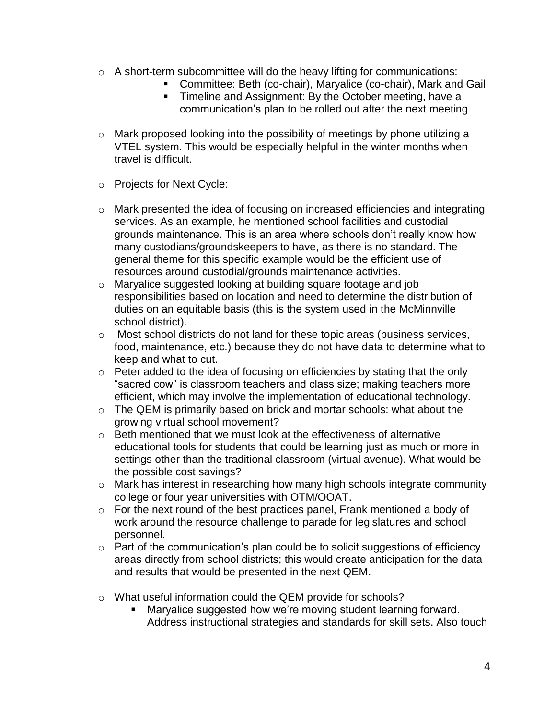- o A short-term subcommittee will do the heavy lifting for communications:
	- Committee: Beth (co-chair), Maryalice (co-chair), Mark and Gail
	- **Timeline and Assignment: By the October meeting, have a** communication's plan to be rolled out after the next meeting
- o Mark proposed looking into the possibility of meetings by phone utilizing a VTEL system. This would be especially helpful in the winter months when travel is difficult.
- o Projects for Next Cycle:
- o Mark presented the idea of focusing on increased efficiencies and integrating services. As an example, he mentioned school facilities and custodial grounds maintenance. This is an area where schools don't really know how many custodians/groundskeepers to have, as there is no standard. The general theme for this specific example would be the efficient use of resources around custodial/grounds maintenance activities.
- o Maryalice suggested looking at building square footage and job responsibilities based on location and need to determine the distribution of duties on an equitable basis (this is the system used in the McMinnville school district).
- o Most school districts do not land for these topic areas (business services, food, maintenance, etc.) because they do not have data to determine what to keep and what to cut.
- o Peter added to the idea of focusing on efficiencies by stating that the only "sacred cow" is classroom teachers and class size; making teachers more efficient, which may involve the implementation of educational technology.
- o The QEM is primarily based on brick and mortar schools: what about the growing virtual school movement?
- o Beth mentioned that we must look at the effectiveness of alternative educational tools for students that could be learning just as much or more in settings other than the traditional classroom (virtual avenue). What would be the possible cost savings?
- o Mark has interest in researching how many high schools integrate community college or four year universities with OTM/OOAT.
- o For the next round of the best practices panel, Frank mentioned a body of work around the resource challenge to parade for legislatures and school personnel.
- o Part of the communication's plan could be to solicit suggestions of efficiency areas directly from school districts; this would create anticipation for the data and results that would be presented in the next QEM.
- o What useful information could the QEM provide for schools?
	- Maryalice suggested how we're moving student learning forward. Address instructional strategies and standards for skill sets. Also touch